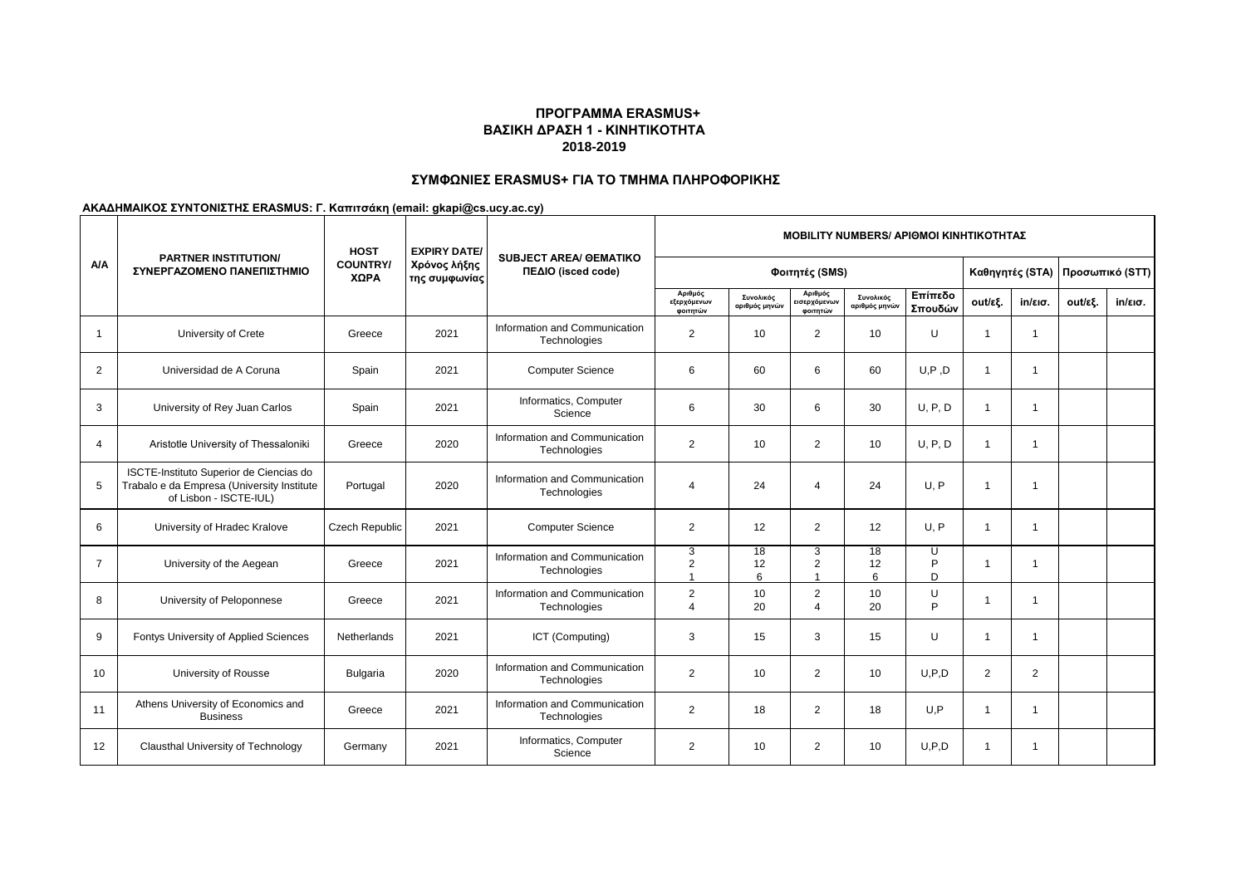## **ΣΥΜΦΩΝΙΕΣ ERASMUS+ ΓΙΑ ΤΟ ΤΜΗΜΑ ΠΛΗΡΟΦΟΡΙΚΗΣ**

|                |                                                                                                                 | <b>HOST</b><br><b>EXPIRY DATE/</b> |                               | <b>MOBILITY NUMBERS/ APIOMOI KINHTIKOTHTAΣ</b>      |                                    |                            |                                     |                            |                    |                |                   |         |                   |  |
|----------------|-----------------------------------------------------------------------------------------------------------------|------------------------------------|-------------------------------|-----------------------------------------------------|------------------------------------|----------------------------|-------------------------------------|----------------------------|--------------------|----------------|-------------------|---------|-------------------|--|
| A/A            | <b>PARTNER INSTITUTION/</b><br>ΣΥΝΕΡΓΑΖΟΜΕΝΟ ΠΑΝΕΠΙΣΤΗΜΙΟ                                                       | <b>COUNTRY/</b><br>ΧΩΡΑ            | Χρόνος λήξης<br>της συμφωνίας | <b>SUBJECT AREA/ GEMATIKO</b><br>ΠΕΔΙΟ (isced code) | Φοιτητές (SMS)                     |                            |                                     |                            |                    |                | Καθηγητές (STA)   |         | Προσωπικό (STT)   |  |
|                |                                                                                                                 |                                    |                               |                                                     | Αριθμός<br>εξερχόμενων<br>φοιτητών | Συνολικός<br>αριθμός μηνών | Αριθμός<br>εισερχόμενων<br>φοιτητών | Συνολικός<br>αριθμός μηνών | Επίπεδο<br>Σπουδών | out/εξ.        | $in/\epsilon$ ισ. | out/εξ. | $in/\epsilon$ ισ. |  |
| $\mathbf{1}$   | University of Crete                                                                                             | Greece                             | 2021                          | Information and Communication<br>Technologies       | 2                                  | 10                         | $\overline{2}$                      | 10                         | U                  | $\mathbf{1}$   | $\mathbf{1}$      |         |                   |  |
| $\overline{2}$ | Universidad de A Coruna                                                                                         | Spain                              | 2021                          | <b>Computer Science</b>                             | 6                                  | 60                         | 6                                   | 60                         | U, P, D            | $\mathbf{1}$   | $\mathbf{1}$      |         |                   |  |
| 3              | University of Rey Juan Carlos                                                                                   | Spain                              | 2021                          | Informatics, Computer<br>Science                    | 6                                  | 30                         | 6                                   | 30                         | U, P, D            | $\mathbf{1}$   | $\mathbf{1}$      |         |                   |  |
| $\overline{4}$ | Aristotle University of Thessaloniki                                                                            | Greece                             | 2020                          | Information and Communication<br>Technologies       | 2                                  | 10                         | $\overline{2}$                      | 10                         | U, P, D            | $\mathbf{1}$   | $\overline{1}$    |         |                   |  |
| 5              | ISCTE-Instituto Superior de Ciencias do<br>Trabalo e da Empresa (University Institute<br>of Lisbon - ISCTE-IUL) | Portugal                           | 2020                          | Information and Communication<br>Technologies       | $\overline{4}$                     | 24                         | $\overline{4}$                      | 24                         | U, P               | 1              | -1                |         |                   |  |
| 6              | University of Hradec Kralove                                                                                    | <b>Czech Republic</b>              | 2021                          | <b>Computer Science</b>                             | $\overline{2}$                     | 12                         | $\overline{2}$                      | 12                         | U, P               | 1              | $\overline{1}$    |         |                   |  |
| $\overline{7}$ | University of the Aegean                                                                                        | Greece                             | 2021                          | Information and Communication<br>Technologies       | 3<br>$\sqrt{2}$<br>$\overline{ }$  | 18<br>12<br>6              | 3<br>2<br>-1                        | 18<br>12<br>6              | U<br>P<br>D        | 1              | $\overline{1}$    |         |                   |  |
| 8              | University of Peloponnese                                                                                       | Greece                             | 2021                          | Information and Communication<br>Technologies       | $\overline{2}$<br>$\overline{4}$   | 10<br>20                   | 2<br>$\overline{4}$                 | 10<br>20                   | U<br>P             |                | 1                 |         |                   |  |
| 9              | Fontys University of Applied Sciences                                                                           | Netherlands                        | 2021                          | ICT (Computing)                                     | 3                                  | 15                         | 3                                   | 15                         | U                  | $\overline{1}$ | $\overline{1}$    |         |                   |  |
| 10             | University of Rousse                                                                                            | <b>Bulgaria</b>                    | 2020                          | Information and Communication<br>Technologies       | $\overline{2}$                     | 10                         | $\overline{2}$                      | 10                         | U.P.D              | 2              | $\overline{2}$    |         |                   |  |
| 11             | Athens University of Economics and<br><b>Business</b>                                                           | Greece                             | 2021                          | Information and Communication<br>Technologies       | 2                                  | 18                         | $\overline{2}$                      | 18                         | U.P                | 1              | $\mathbf{1}$      |         |                   |  |
| 12             | Clausthal University of Technology                                                                              | Germany                            | 2021                          | Informatics, Computer<br>Science                    | 2                                  | 10                         | $\overline{2}$                      | 10                         | U.P.D              | 1              | -1                |         |                   |  |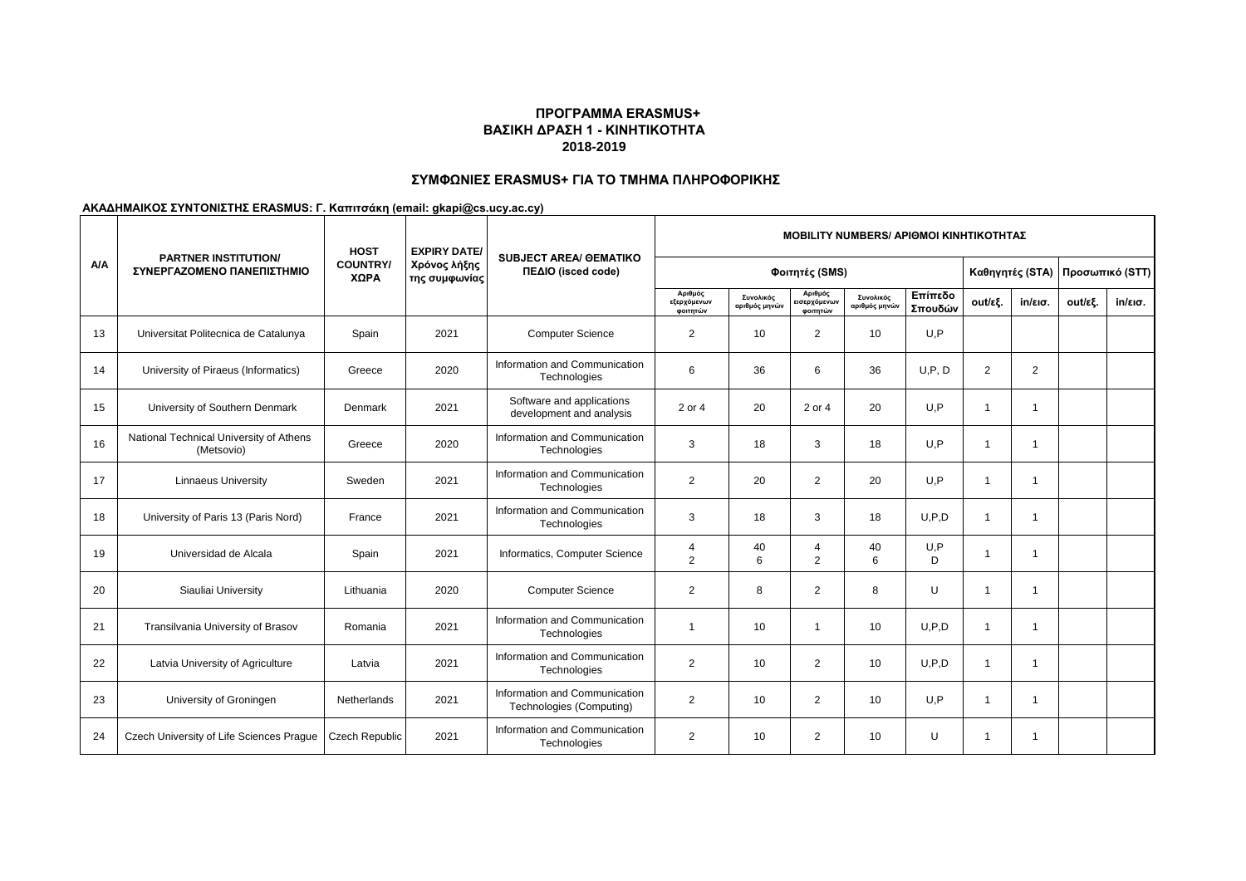# **ΣΥΜΦΩΝΙΕΣ ERASMUS+ ΓΙΑ ΤΟ ΤΜΗΜΑ ΠΛΗΡΟΦΟΡΙΚΗΣ**

|     |                                                           | <b>HOST</b>             | <b>EXPIRY DATE/</b>           |                                                           |                                    |                            |                                     | <b>MOBILITY NUMBERS/ APIOMOI KINHTIKOTHTAZ</b> |                    |                          |                          |         |                   |  |
|-----|-----------------------------------------------------------|-------------------------|-------------------------------|-----------------------------------------------------------|------------------------------------|----------------------------|-------------------------------------|------------------------------------------------|--------------------|--------------------------|--------------------------|---------|-------------------|--|
| A/A | <b>PARTNER INSTITUTION/</b><br>ΣΥΝΕΡΓΑΖΟΜΕΝΟ ΠΑΝΕΠΙΣΤΗΜΙΟ | <b>COUNTRY/</b><br>ΧΩΡΑ | Χρόνος λήξης<br>της συμφωνίας | <b>SUBJECT AREA/ GEMATIKO</b><br>ΠΕΔΙΟ (isced code)       | Φοιτητές (SMS)                     |                            |                                     |                                                |                    |                          | Καθηγητές (STA)          |         | Προσωπικό (STT)   |  |
|     |                                                           |                         |                               |                                                           | Αριθμός<br>εξερχόμενων<br>φοιτητών | Συνολικός<br>αριθμός μηνών | Αριθμός<br>εισερχόμενων<br>φοιτητών | Συνολικός<br>αριθμός μηνών                     | Επίπεδο<br>Σπουδών | out/εξ.                  | $in/\epsilon$ ισ.        | out/εξ. | $in/\epsilon$ ισ. |  |
| 13  | Universitat Politecnica de Catalunya                      | Spain                   | 2021                          | <b>Computer Science</b>                                   | $\overline{2}$                     | 10                         | $\overline{2}$                      | 10                                             | U,P                |                          |                          |         |                   |  |
| 14  | University of Piraeus (Informatics)                       | Greece                  | 2020                          | Information and Communication<br>Technologies             | 6                                  | 36                         | 6                                   | 36                                             | U, P, D            | 2                        | 2                        |         |                   |  |
| 15  | University of Southern Denmark                            | Denmark                 | 2021                          | Software and applications<br>development and analysis     | 2 or 4                             | 20                         | 2 or 4                              | 20                                             | U, P               | $\overline{ }$           | $\overline{\phantom{a}}$ |         |                   |  |
| 16  | National Technical University of Athens<br>(Metsovio)     | Greece                  | 2020                          | Information and Communication<br>Technologies             | 3                                  | 18                         | 3                                   | 18                                             | U,P                | $\overline{1}$           | -1                       |         |                   |  |
| 17  | <b>Linnaeus University</b>                                | Sweden                  | 2021                          | Information and Communication<br>Technologies             | $\overline{2}$                     | 20                         | $\overline{2}$                      | 20                                             | U.P                | $\overline{\phantom{a}}$ | 1                        |         |                   |  |
| 18  | University of Paris 13 (Paris Nord)                       | France                  | 2021                          | Information and Communication<br>Technologies             | 3                                  | 18                         | 3                                   | 18                                             | U.P.D              | $\overline{1}$           | 1                        |         |                   |  |
| 19  | Universidad de Alcala                                     | Spain                   | 2021                          | Informatics, Computer Science                             | $\overline{4}$<br>2                | 40<br>6                    | $\overline{4}$<br>$\overline{2}$    | 40<br>6                                        | U, P<br>D          | $\overline{\phantom{a}}$ | -1                       |         |                   |  |
| 20  | Siauliai University                                       | Lithuania               | 2020                          | <b>Computer Science</b>                                   | $\overline{2}$                     | 8                          | $\overline{2}$                      | 8                                              | U                  | $\overline{1}$           | 1                        |         |                   |  |
| 21  | Transilvania University of Brasov                         | Romania                 | 2021                          | Information and Communication<br>Technologies             | $\mathbf{1}$                       | 10                         | $\overline{1}$                      | 10                                             | U.P.D              | $\overline{1}$           | 1                        |         |                   |  |
| 22  | Latvia University of Agriculture                          | Latvia                  | 2021                          | Information and Communication<br>Technologies             | $\overline{2}$                     | 10                         | $\overline{2}$                      | 10                                             | U.P.D              | -1                       | 1                        |         |                   |  |
| 23  | University of Groningen                                   | Netherlands             | 2021                          | Information and Communication<br>Technologies (Computing) | 2                                  | 10                         | $\overline{2}$                      | 10                                             | U, P               | $\overline{1}$           | -1                       |         |                   |  |
| 24  | Czech University of Life Sciences Prague                  | Czech Republic          | 2021                          | Information and Communication<br>Technologies             | $\overline{2}$                     | 10                         | $\overline{2}$                      | 10                                             | U                  | -1                       | -1                       |         |                   |  |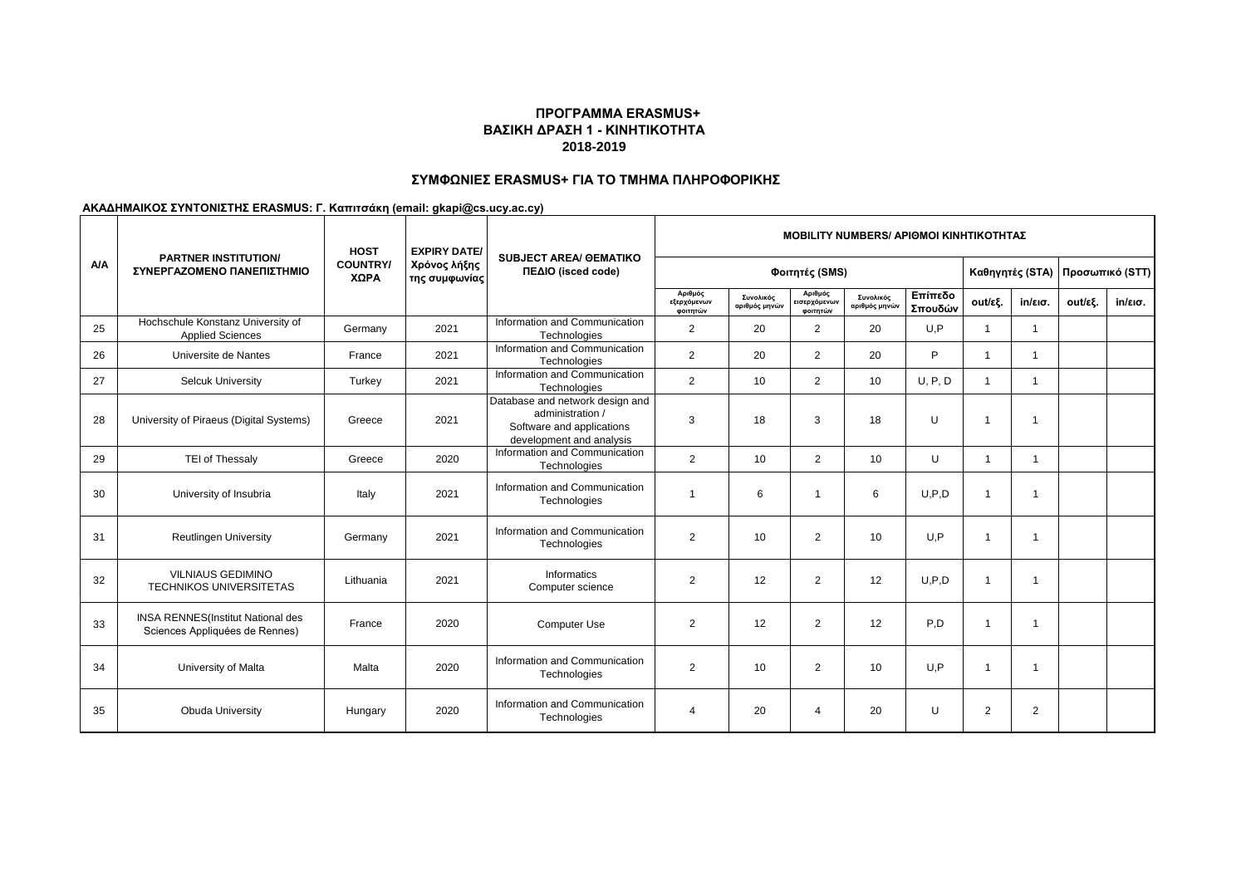# **ΣΥΜΦΩΝΙΕΣ ERASMUS+ ΓΙΑ ΤΟ ΤΜΗΜΑ ΠΛΗΡΟΦΟΡΙΚΗΣ**

|     |                                                                            | <b>HOST</b>             | <b>EXPIRY DATE/</b>           |                                                                                                              |                                    |                            |                                     | <b>MOBILITY NUMBERS/ ΑΡΙΘΜΟΙ ΚΙΝΗΤΙΚΟΤΗΤΑΣ</b> |                    |                         |                   |                 |                   |
|-----|----------------------------------------------------------------------------|-------------------------|-------------------------------|--------------------------------------------------------------------------------------------------------------|------------------------------------|----------------------------|-------------------------------------|------------------------------------------------|--------------------|-------------------------|-------------------|-----------------|-------------------|
| A/A | <b>PARTNER INSTITUTION/</b><br>ΣΥΝΕΡΓΑΖΟΜΕΝΟ ΠΑΝΕΠΙΣΤΗΜΙΟ                  | <b>COUNTRY/</b><br>ΧΩΡΑ | Χρόνος λήξης<br>της συμφωνίας | <b>SUBJECT AREA/ GEMATIKO</b><br>ΠΕΔΙΟ (isced code)                                                          | Φοιτητές (SMS)                     |                            |                                     |                                                |                    |                         | Καθηγητές (STA)   | Προσωπικό (STT) |                   |
|     |                                                                            |                         |                               |                                                                                                              | Αριθμός<br>εξερχόμενων<br>φοιτητών | Συνολικός<br>αριθμός μηνών | Αριθμός<br>εισερχόμενων<br>φοιτητών | Συνολικός<br>αριθμός μηνών                     | Επίπεδο<br>Σπουδών | out/εξ.                 | $in/\epsilon$ ισ. | out/εξ.         | $in/\epsilon$ ισ. |
| 25  | Hochschule Konstanz University of<br><b>Applied Sciences</b>               | Germany                 | 2021                          | Information and Communication<br>Technologies                                                                | $\overline{2}$                     | 20                         | 2                                   | 20                                             | U,P                | 1                       | $\overline{1}$    |                 |                   |
| 26  | Universite de Nantes                                                       | France                  | 2021                          | Information and Communication<br>Technologies                                                                | $\overline{2}$                     | 20                         | $\overline{2}$                      | 20                                             | P                  | $\overline{\mathbf{1}}$ | $\overline{1}$    |                 |                   |
| 27  | <b>Selcuk University</b>                                                   | Turkey                  | 2021                          | Information and Communication<br>Technologies                                                                | 2                                  | 10                         | $\overline{2}$                      | 10                                             | U, P, D            | $\mathbf{1}$            | $\mathbf{1}$      |                 |                   |
| 28  | University of Piraeus (Digital Systems)                                    | Greece                  | 2021                          | Database and network design and<br>administration /<br>Software and applications<br>development and analysis | 3                                  | 18                         | 3                                   | 18                                             | U                  | $\overline{1}$          | $\overline{1}$    |                 |                   |
| 29  | TEI of Thessaly                                                            | Greece                  | 2020                          | Information and Communication<br>Technologies                                                                | 2                                  | 10                         | $\overline{2}$                      | 10                                             | U                  | $\overline{1}$          | $\mathbf 1$       |                 |                   |
| 30  | University of Insubria                                                     | Italy                   | 2021                          | Information and Communication<br>Technologies                                                                | $\overline{1}$                     | 6                          |                                     | 6                                              | U.P.D              | $\overline{1}$          | $\overline{1}$    |                 |                   |
| 31  | <b>Reutlingen University</b>                                               | Germany                 | 2021                          | Information and Communication<br>Technologies                                                                | 2                                  | 10                         | 2                                   | 10                                             | U.P                | $\overline{1}$          | $\mathbf 1$       |                 |                   |
| 32  | <b>VILNIAUS GEDIMINO</b><br><b>TECHNIKOS UNIVERSITETAS</b>                 | Lithuania               | 2021                          | Informatics<br>Computer science                                                                              | 2                                  | 12                         | 2                                   | 12                                             | U.P.D              | $\overline{1}$          | $\mathbf{1}$      |                 |                   |
| 33  | <b>INSA RENNES(Institut National des</b><br>Sciences Appliquées de Rennes) | France                  | 2020                          | <b>Computer Use</b>                                                                                          | 2                                  | 12                         | $\overline{2}$                      | 12                                             | P,D                | $\overline{ }$          | $\mathbf{1}$      |                 |                   |
| 34  | University of Malta                                                        | Malta                   | 2020                          | Information and Communication<br>Technologies                                                                | 2                                  | 10                         | 2                                   | 10                                             | U, P               | 1                       | $\mathbf{1}$      |                 |                   |
| 35  | <b>Obuda University</b>                                                    | Hungary                 | 2020                          | Information and Communication<br>Technologies                                                                | $\overline{4}$                     | 20                         | $\overline{4}$                      | 20                                             | U                  | 2                       | $\overline{2}$    |                 |                   |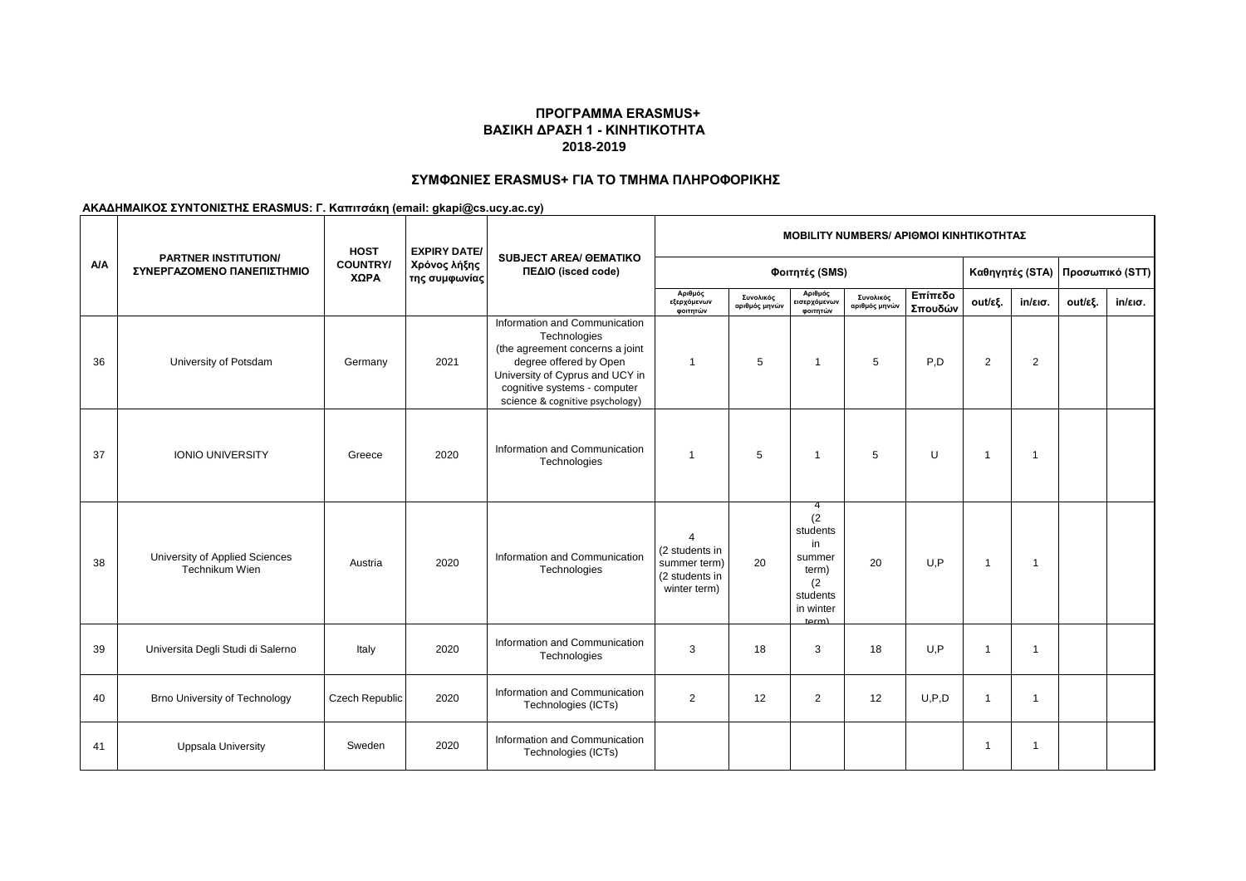# **ΣΥΜΦΩΝΙΕΣ ERASMUS+ ΓΙΑ ΤΟ ΤΜΗΜΑ ΠΛΗΡΟΦΟΡΙΚΗΣ**

|     |                                                           | <b>HOST</b>             | <b>EXPIRY DATE/</b>           |                                                                                                                                                                                                                  |                                                                                              | <b>ΜΟΒΙLITY NUMBERS/ ΑΡΙΘΜΟΙ ΚΙΝΗΤΙΚΟΤΗΤΑΣ</b> |                                                                                         |                            |                    |                |                   |                                    |                   |  |  |
|-----|-----------------------------------------------------------|-------------------------|-------------------------------|------------------------------------------------------------------------------------------------------------------------------------------------------------------------------------------------------------------|----------------------------------------------------------------------------------------------|------------------------------------------------|-----------------------------------------------------------------------------------------|----------------------------|--------------------|----------------|-------------------|------------------------------------|-------------------|--|--|
| A/A | <b>PARTNER INSTITUTION/</b><br>ΣΥΝΕΡΓΑΖΟΜΕΝΟ ΠΑΝΕΠΙΣΤΗΜΙΟ | <b>COUNTRY/</b><br>ΧΩΡΑ | Χρόνος λήξης<br>της συμφωνίας | <b>SUBJECT AREA/ GEMATIKO</b><br>ΠΕΔΙΟ (isced code)                                                                                                                                                              |                                                                                              | Φοιτητές (SMS)                                 |                                                                                         |                            |                    |                |                   | Προσωπικό (STT)<br>Καθηγητές (STA) |                   |  |  |
|     |                                                           |                         |                               |                                                                                                                                                                                                                  | Αριθμός<br>εξερχόμενων<br>φοιτητών                                                           | Συνολικός<br>αριθμός μηνών                     | Αριθμός<br>εισερχόμενων<br>φοιτητών                                                     | Συνολικός<br>αριθμός μηνών | Επίπεδο<br>Σπουδών | out/εξ.        | $in/\epsilon$ ισ. | out/εξ.                            | $in/\epsilon$ ισ. |  |  |
| 36  | University of Potsdam                                     | Germany                 | 2021                          | Information and Communication<br>Technologies<br>(the agreement concerns a joint<br>degree offered by Open<br>University of Cyprus and UCY in<br>cognitive systems - computer<br>science & cognitive psychology) | $\overline{1}$                                                                               | 5                                              | $\overline{1}$                                                                          | 5                          | P,D                | $\overline{2}$ | $\overline{2}$    |                                    |                   |  |  |
| 37  | <b>IONIO UNIVERSITY</b>                                   | Greece                  | 2020                          | Information and Communication<br>Technologies                                                                                                                                                                    | $\overline{1}$                                                                               | 5                                              | $\mathbf{1}$                                                                            | 5                          | U                  | $\overline{1}$ | $\overline{1}$    |                                    |                   |  |  |
| 38  | University of Applied Sciences<br>Technikum Wien          | Austria                 | 2020                          | Information and Communication<br>Technologies                                                                                                                                                                    | $\boldsymbol{\varDelta}$<br>(2 students in<br>summer term)<br>(2 students in<br>winter term) | 20                                             | -4<br>(2)<br>students<br>in<br>summer<br>term)<br>(2)<br>students<br>in winter<br>term) | 20                         | U,P                | $\mathbf{1}$   | $\overline{1}$    |                                    |                   |  |  |
| 39  | Universita Degli Studi di Salerno                         | Italy                   | 2020                          | Information and Communication<br>Technologies                                                                                                                                                                    | 3                                                                                            | 18                                             | 3                                                                                       | 18                         | U,P                | -1             | $\mathbf{1}$      |                                    |                   |  |  |
| 40  | <b>Brno University of Technology</b>                      | Czech Republic          | 2020                          | Information and Communication<br>Technologies (ICTs)                                                                                                                                                             | 2                                                                                            | 12                                             | 2                                                                                       | 12                         | U.P.D              | $\mathbf{1}$   | $\mathbf{1}$      |                                    |                   |  |  |
| 41  | <b>Uppsala University</b>                                 | Sweden                  | 2020                          | Information and Communication<br>Technologies (ICTs)                                                                                                                                                             |                                                                                              |                                                |                                                                                         |                            |                    | -1             | $\mathbf{1}$      |                                    |                   |  |  |